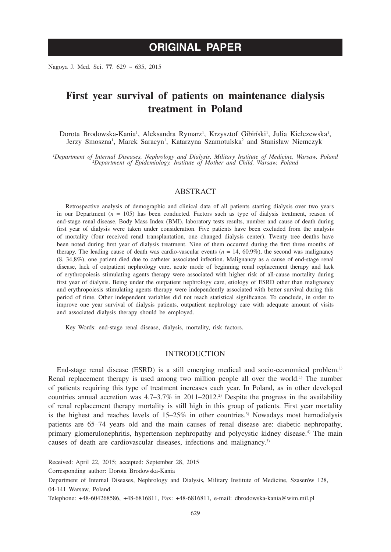# **ORIGINAL PAPER**

Nagoya J. Med. Sci. **77**. 629 ~ 635, 2015

## **First year survival of patients on maintenance dialysis treatment in Poland**

Dorota Brodowska-Kania<sup>1</sup>, Aleksandra Rymarz<sup>1</sup>, Krzysztof Gibiński<sup>1</sup>, Julia Kiełczewska<sup>1</sup>, Jerzy Smoszna<sup>1</sup>, Marek Saracyn<sup>1</sup>, Katarzyna Szamotulska<sup>2</sup> and Stanisław Niemczyk<sup>1</sup>

*1 Department of Internal Diseases, Nephrology and Dialysis, Military Institute of Medicine, Warsaw, Poland <sup>2</sup> Department of Epidemiology, Institute of Mother and Child, Warsaw, Poland*

#### ABSTRACT

Retrospective analysis of demographic and clinical data of all patients starting dialysis over two years in our Department (*n* = 105) has been conducted. Factors such as type of dialysis treatment, reason of end-stage renal disease, Body Mass Index (BMI), laboratory tests results, number and cause of death during first year of dialysis were taken under consideration. Five patients have been excluded from the analysis of mortality (four received renal transplantation, one changed dialysis center). Twenty tree deaths have been noted during first year of dialysis treatment. Nine of them occurred during the first three months of therapy. The leading cause of death was cardio-vascular events  $(n = 14, 60.9\%)$ , the second was malignancy (8, 34,8%), one patient died due to catheter associated infection. Malignancy as a cause of end-stage renal disease, lack of outpatient nephrology care, acute mode of beginning renal replacement therapy and lack of erythropoiesis stimulating agents therapy were associated with higher risk of all-cause mortality during first year of dialysis. Being under the outpatient nephrology care, etiology of ESRD other than malignancy and erythropoiesis stimulating agents therapy were independently associated with better survival during this period of time. Other independent variables did not reach statistical significance. To conclude, in order to improve one year survival of dialysis patients, outpatient nephrology care with adequate amount of visits and associated dialysis therapy should be employed.

Key Words: end-stage renal disease, dialysis, mortality, risk factors.

#### **INTRODUCTION**

End-stage renal disease (ESRD) is a still emerging medical and socio-economical problem.<sup>1)</sup> Renal replacement therapy is used among two million people all over the world.<sup>1)</sup> The number of patients requiring this type of treatment increases each year. In Poland, as in other developed countries annual accretion was  $4.7-3.7\%$  in  $2011-2012$ .<sup>2)</sup> Despite the progress in the availability of renal replacement therapy mortality is still high in this group of patients. First year mortality is the highest and reaches levels of  $15-25\%$  in other countries.<sup>3)</sup> Nowadays most hemodialysis patients are 65–74 years old and the main causes of renal disease are: diabetic nephropathy, primary glomerulonephritis, hypertension nephropathy and polycystic kidney disease.4) The main causes of death are cardiovascular diseases, infections and malignancy.<sup>3)</sup>

Corresponding author: Dorota Brodowska-Kania

Received: April 22, 2015; accepted: September 28, 2015

Department of Internal Diseases, Nephrology and Dialysis, Military Institute of Medicine, Szaserów 128, 04-141 Warsaw, Poland

Telephone: +48-604268586, +48-6816811, Fax: +48-6816811, e-mail: dbrodowska-kania@wim.mil.pl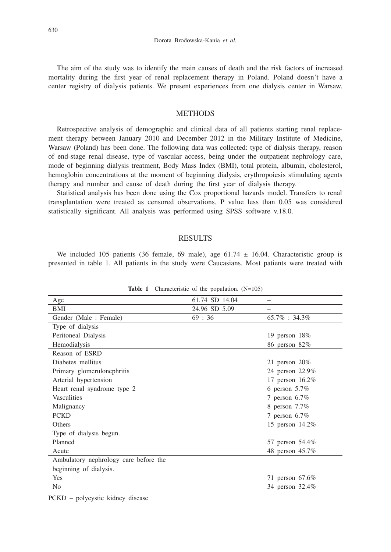The aim of the study was to identify the main causes of death and the risk factors of increased mortality during the first year of renal replacement therapy in Poland. Poland doesn't have a center registry of dialysis patients. We present experiences from one dialysis center in Warsaw.

## **METHODS**

Retrospective analysis of demographic and clinical data of all patients starting renal replacement therapy between January 2010 and December 2012 in the Military Institute of Medicine, Warsaw (Poland) has been done. The following data was collected: type of dialysis therapy, reason of end-stage renal disease, type of vascular access, being under the outpatient nephrology care, mode of beginning dialysis treatment, Body Mass Index (BMI), total protein, albumin, cholesterol, hemoglobin concentrations at the moment of beginning dialysis, erythropoiesis stimulating agents therapy and number and cause of death during the first year of dialysis therapy.

Statistical analysis has been done using the Cox proportional hazards model. Transfers to renal transplantation were treated as censored observations. P value less than 0.05 was considered statistically significant. All analysis was performed using SPSS software v.18.0.

#### **RESULTS**

We included 105 patients (36 female, 69 male), age  $61.74 \pm 16.04$ . Characteristic group is presented in table 1. All patients in the study were Caucasians. Most patients were treated with

| 61.74 SD 14.04<br>Age                               |
|-----------------------------------------------------|
|                                                     |
| 24.96 SD 5.09<br>BMI                                |
| 69:36<br>Gender (Male: Female)<br>$65.7\% : 34.3\%$ |
| Type of dialysis                                    |
| Peritoneal Dialysis<br>19 person $18\%$             |
| Hemodialysis<br>86 person 82%                       |
| Reason of ESRD                                      |
| Diabetes mellitus<br>21 person $20\%$               |
| Primary glomerulonephritis<br>24 person 22.9%       |
| Arterial hypertension<br>17 person 16.2%            |
| Heart renal syndrome type 2<br>6 person $5.7\%$     |
| <b>Vasculities</b><br>7 person $6.7\%$              |
| Malignancy<br>8 person 7.7%                         |
| <b>PCKD</b><br>7 person $6.7\%$                     |
| Others<br>15 person 14.2%                           |
| Type of dialysis begun.                             |
| Planned<br>57 person 54.4%                          |
| 48 person 45.7%<br>Acute                            |
| Ambulatory nephrology care before the               |
| beginning of dialysis.                              |
| <b>Yes</b><br>71 person 67.6%                       |
| No<br>34 person 32.4%                               |

Table 1 Characteristic of the population. (N=105)

PCKD – polycystic kidney disease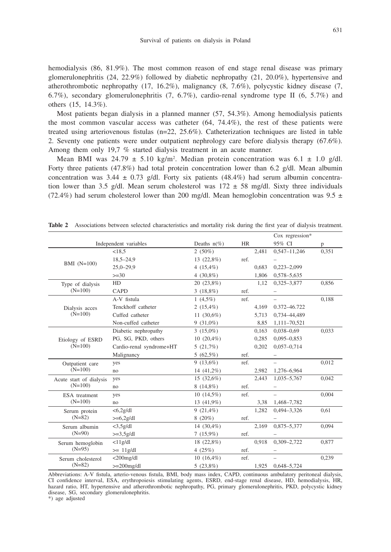hemodialysis (86, 81.9%). The most common reason of end stage renal disease was primary glomerulonephritis (24, 22.9%) followed by diabetic nephropathy (21, 20.0%), hypertensive and atherothrombotic nephropathy (17, 16.2%), malignancy (8, 7.6%), polycystic kidney disease (7, 6.7%), secondary glomerulonephritis (7, 6.7%), cardio-renal syndrome type II (6, 5.7%) and others (15, 14.3%).

Most patients began dialysis in a planned manner (57, 54.3%). Among hemodialysis patients the most common vascular access was catheter (64, 74.4%), the rest of these patients were treated using arteriovenous fistulas (n=22, 25.6%). Catheterization techniques are listed in table 2. Seventy one patients were under outpatient nephrology care before dialysis therapy (67.6%). Among them only 19,7 % started dialysis treatment in an acute manner.

Mean BMI was  $24.79 \pm 5.10$  kg/m<sup>2</sup>. Median protein concentration was  $6.1 \pm 1.0$  g/dl. Forty three patients (47.8%) had total protein concentration lower than 6.2 g/dl. Mean albumin concentration was  $3.44 \pm 0.73$  g/dl. Forty six patients (48.4%) had serum albumin concentration lower than 3.5 g/dl. Mean serum cholesterol was  $172 \pm 58$  mg/dl. Sixty three individuals (72.4%) had serum cholesterol lower than 200 mg/dl. Mean hemoglobin concentration was 9.5  $\pm$ 

|                                      |                          |                |           |       | Cox regression*  |       |
|--------------------------------------|--------------------------|----------------|-----------|-------|------------------|-------|
| Independent variables                |                          | Deaths $n(\%)$ | <b>HR</b> |       | 95% CI           | p     |
| BMI $(N=100)$                        | < 18.5                   | $2(50\%)$      |           | 2,481 | $0,547 - 11,246$ | 0,351 |
|                                      | $18,5 - 24,9$            | 13 (22,8%)     | ref.      |       |                  |       |
|                                      | $25,0-29,9$              | $4(15,4\%)$    |           | 0.683 | $0,223 - 2,099$  |       |
|                                      | $>=30$                   | 4 $(30,8\%)$   |           | 1,806 | 0,578-5,635      |       |
| Type of dialysis<br>$(N=100)$        | HD                       | 20 (23,8%)     |           | 1,12  | 0,325-3,877      | 0.856 |
|                                      | <b>CAPD</b>              | $3(18,8\%)$    | ref.      |       |                  |       |
| Dialysis acces<br>$(N=100)$          | A-V fistula              | 1 $(4,5\%)$    | ref.      |       |                  | 0,188 |
|                                      | Tenckhoff catheter       | $2(15,4\%)$    |           | 4,169 | 0.372-46.722     |       |
|                                      | Cuffed catheter          | 11 $(30,6\%)$  |           | 5.713 | 0,734-44,489     |       |
|                                      | Non-cuffed catheter      | $9(31,0\%)$    |           | 8,85  | 1,111-70,521     |       |
| Etiology of ESRD                     | Diabetic nephropathy     | $3(15.0\%)$    |           | 0.163 | $0,038 - 0,69$   | 0,033 |
|                                      | PG, SG, PKD, others      | $10(20,4\%)$   |           | 0,285 | $0,095 - 0,853$  |       |
| $(N=100)$                            | Cardio-renal syndrome+HT | 5(21,7%)       |           | 0,202 | $0,057 - 0,714$  |       |
|                                      | Malignancy               | $5(62,5\%)$    | ref.      |       |                  |       |
| Outpatient care<br>$(N=100)$         | yes                      | $9(13,6\%)$    | ref.      |       |                  | 0,012 |
|                                      | no                       | 14 (41,2%)     |           | 2,982 | 1,276-6,964      |       |
| Acute start of dialysis<br>$(N=100)$ | yes                      | $15(32,6\%)$   |           | 2.443 | 1,035-5,767      | 0.042 |
|                                      | no                       | $8(14,8\%)$    | ref.      |       |                  |       |
| ESA treatment<br>$(N=100)$           | yes                      | $10(14,5\%)$   | ref.      |       |                  | 0,004 |
|                                      | no                       | 13 (41,9%)     |           | 3,38  | 1,468-7,782      |       |
| Serum protein<br>$(N=82)$            | $<$ 6,2g/dl              | $9(21,4\%)$    |           | 1,282 | $0.494 - 3.326$  | 0,61  |
|                                      | $>= 6,2g/dl$             | $8(20\%)$      | ref.      |       |                  |       |
| Serum albumin<br>$(N=90)$            | $<$ 3,5g/dl              | 14 $(30, 4\%)$ |           | 2.169 | 0,875-5,377      | 0,094 |
|                                      | $>=3,5g/dl$              | $7(15.9\%)$    | ref.      |       |                  |       |
| Serum hemoglobin<br>$(N=95)$         | $<$ 11g/dl               | 18 (22,8%)     |           | 0.918 | $0,309 - 2,722$  | 0,877 |
|                                      | $\geq$ 11g/dl            | 4 $(25%)$      | ref.      |       |                  |       |
| Serum cholesterol<br>$(N=82)$        | $<$ 200 $mg/dl$          | $10(16,4\%)$   | ref.      |       |                  | 0,239 |
|                                      | $>=200mg/dl$             | 5(23,8%)       |           | 1,925 | 0,648-5,724      |       |

**Table 2** Associations between selected characteristics and mortality risk during the first year of dialysis treatment.

Abbreviations: A-V fistula, arterio-venous fistula, BMI, body mass index, CAPD, continuous ambulatory peritoneal dialysis, CI confidence interval, ESA, erythropoiesis stimulating agents, ESRD, end-stage renal disease, HD, hemodialysis, HR, hazard ratio, HT, hypertensive and atherothrombotic nephropathy, PG, primary glomerulonephritis, PKD, polycystic kidney disease, SG, secondary glomerulonephritis. \*) age adjusted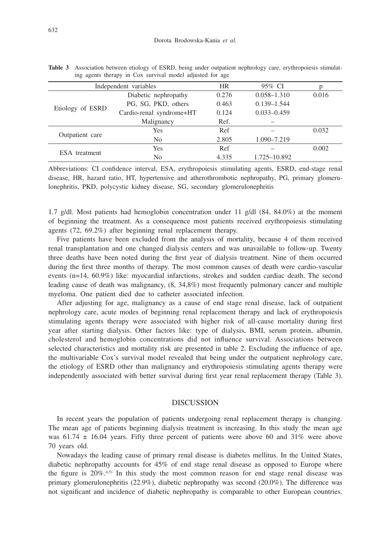| Independent variables |                          | <b>HR</b> | 95% CI          |       |
|-----------------------|--------------------------|-----------|-----------------|-------|
| Etiology of ESRD      | Diabetic nephropathy     | 0.276     | $0.058 - 1.310$ | 0.016 |
|                       | PG, SG, PKD, others      | 0.463     | $0.139 - 1.544$ |       |
|                       | Cardio-renal syndrome+HT | 0.124     | $0.033 - 0.459$ |       |
|                       | Malignancy               | Ref.      |                 |       |
| Outpatient care       | <b>Yes</b>               | Ref       |                 | 0.032 |
|                       | N <sub>0</sub>           | 2.805     | 1.090-7.219     |       |
| ESA treatment         | Yes                      | Ref       |                 | 0.002 |
|                       | No                       | 4.335     | 1.725-10.892    |       |

**Table 3** Association between etiology of ESRD, being under outpatient nephrology care, erythropoiesis stimulating agents therapy in Cox survival model adjusted for age

Abbreviations: CI confidence interval, ESA, erythropoiesis stimulating agents, ESRD, end-stage renal disease, HR, hazard ratio, HT, hypertensive and atherothrombotic nephropathy, PG, primary glomerulonephritis, PKD, polycystic kidney disease, SG, secondary glomerulonephritis

1.7 g/dl. Most patients had hemoglobin concentration under 11 g/dl (84, 84.0%) at the moment of beginning the treatment. As a consequence most patients received erythropoiesis stimulating agents (72, 69.2%) after beginning renal replacement therapy.

Five patients have been excluded from the analysis of mortality, because 4 of them received renal transplantation and one changed dialysis centers and was unavailable to follow-up. Twenty three deaths have been noted during the first year of dialysis treatment. Nine of them occurred during the first three months of therapy. The most common causes of death were cardio-vascular events (n=14, 60.9%) like: myocardial infarctions, strokes and sudden cardiac death. The second leading cause of death was malignancy, (8, 34,8%) most frequently pulmonary cancer and multiple myeloma. One patient died due to catheter associated infection.

After adjusting for age, malignancy as a cause of end stage renal disease, lack of outpatient nephrology care, acute modes of beginning renal replacement therapy and lack of erythropoiesis stimulating agents therapy were associated with higher risk of all-cause mortality during first year after starting dialysis. Other factors like: type of dialysis, BMI, serum protein, albumin, cholesterol and hemoglobin concentrations did not influence survival. Associations between selected characteristics and mortality risk are presented in table 2. Excluding the influence of age, the multivariable Cox's survival model revealed that being under the outpatient nephrology care, the etiology of ESRD other than malignancy and erythropoiesis stimulating agents therapy were independently associated with better survival during first year renal replacement therapy (Table 3).

## **DISCUSSION**

In recent years the population of patients undergoing renal replacement therapy is changing. The mean age of patients beginning dialysis treatment is increasing. In this study the mean age was 61.74  $\pm$  16.04 years. Fifty three percent of patients were above 60 and 31% were above 70 years old.

Nowadays the leading cause of primary renal disease is diabetes mellitus. In the United States, diabetic nephropathy accounts for 45% of end stage renal disease as opposed to Europe where the figure is  $20\%$ .<sup>4,5)</sup> In this study the most common reason for end stage renal disease was primary glomerulonephritis (22.9%), diabetic nephropathy was second (20.0%). The difference was not significant and incidence of diabetic nephropathy is comparable to other European countries.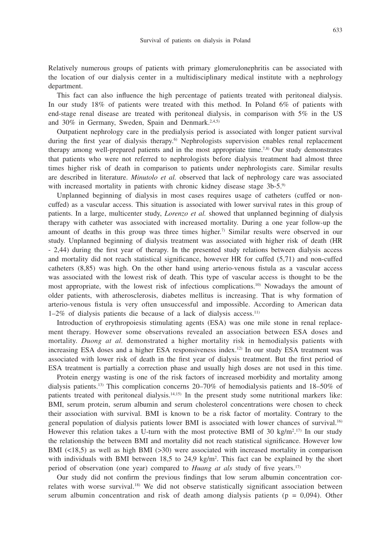Relatively numerous groups of patients with primary glomerulonephritis can be associated with the location of our dialysis center in a multidisciplinary medical institute with a nephrology department.

This fact can also influence the high percentage of patients treated with peritoneal dialysis. In our study 18% of patients were treated with this method. In Poland 6% of patients with end-stage renal disease are treated with peritoneal dialysis, in comparison with 5% in the US and 30% in Germany, Sweden, Spain and Denmark.<sup>2,4,5)</sup>

Outpatient nephrology care in the predialysis period is associated with longer patient survival during the first year of dialysis therapy.<sup>6)</sup> Nephrologists supervision enables renal replacement therapy among well-prepared patients and in the most appropriate time.<sup>7,8)</sup> Our study demonstrates that patients who were not referred to nephrologists before dialysis treatment had almost three times higher risk of death in comparison to patients under nephrologists care. Similar results are described in literature. *Minutolo et al.* observed that lack of nephrology care was associated with increased mortality in patients with chronic kidney disease stage 3b-5.<sup>9)</sup>

Unplanned beginning of dialysis in most cases requires usage of catheters (cuffed or noncuffed) as a vascular access. This situation is associated with lower survival rates in this group of patients. In a large, multicenter study, *Lorenzo et al.* showed that unplanned beginning of dialysis therapy with catheter was associated with increased mortality. During a one year follow-up the amount of deaths in this group was three times higher.7) Similar results were observed in our study. Unplanned beginning of dialysis treatment was associated with higher risk of death (HR - 2,44) during the first year of therapy. In the presented study relations between dialysis access and mortality did not reach statistical significance, however HR for cuffed (5,71) and non-cuffed catheters (8,85) was high. On the other hand using arterio-venous fistula as a vascular access was associated with the lowest risk of death. This type of vascular access is thought to be the most appropriate, with the lowest risk of infectious complications.10) Nowadays the amount of older patients, with atherosclerosis, diabetes mellitus is increasing. That is why formation of arterio-venous fistula is very often unsuccessful and impossible. According to American data 1–2% of dialysis patients die because of a lack of dialysis access.11)

Introduction of erythropoiesis stimulating agents (ESA) was one mile stone in renal replacement therapy. However some observations revealed an association between ESA doses and mortality. *Duong at al.* demonstrated a higher mortality risk in hemodialysis patients with increasing ESA doses and a higher ESA responsiveness index.12) In our study ESA treatment was associated with lower risk of death in the first year of dialysis treatment. But the first period of ESA treatment is partially a correction phase and usually high doses are not used in this time.

Protein energy wasting is one of the risk factors of increased morbidity and mortality among dialysis patients.13) This complication concerns 20–70% of hemodialysis patients and 18–50% of patients treated with peritoneal dialysis.14,15) In the present study some nutritional markers like: BMI, serum protein, serum albumin and serum cholesterol concentrations were chosen to check their association with survival. BMI is known to be a risk factor of mortality. Contrary to the general population of dialysis patients lower BMI is associated with lower chances of survival.16) However this relation takes a U-turn with the most protective BMI of 30 kg/m<sup>2</sup>.<sup>17)</sup> In our study the relationship the between BMI and mortality did not reach statistical significance. However low BMI  $(\leq 18, 5)$  as well as high BMI  $(\geq 30)$  were associated with increased mortality in comparison with individuals with BMI between 18,5 to 24,9 kg/m<sup>2</sup>. This fact can be explained by the short period of observation (one year) compared to *Huang at als* study of five years.<sup>17)</sup>

Our study did not confirm the previous findings that low serum albumin concentration correlates with worse survival.<sup>18)</sup> We did not observe statistically significant association between serum albumin concentration and risk of death among dialysis patients ( $p = 0.094$ ). Other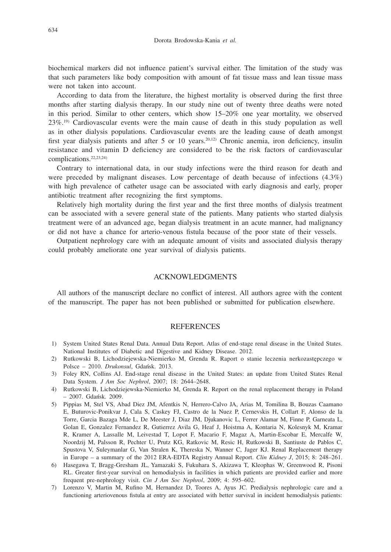biochemical markers did not influence patient's survival either. The limitation of the study was that such parameters like body composition with amount of fat tissue mass and lean tissue mass were not taken into account.

According to data from the literature, the highest mortality is observed during the first three months after starting dialysis therapy. In our study nine out of twenty three deaths were noted in this period. Similar to other centers, which show 15–20% one year mortality, we observed 23%.19) Cardiovascular events were the main cause of death in this study population as well as in other dialysis populations. Cardiovascular events are the leading cause of death amongst first year dialysis patients and after 5 or 10 years.<sup>20,12</sup> Chronic anemia, iron deficiency, insulin resistance and vitamin D deficiency are considered to be the risk factors of cardiovascular complications.22,23,24)

Contrary to international data, in our study infections were the third reason for death and were preceded by malignant diseases. Low percentage of death because of infections (4.3%) with high prevalence of catheter usage can be associated with early diagnosis and early, proper antibiotic treatment after recognizing the first symptoms.

Relatively high mortality during the first year and the first three months of dialysis treatment can be associated with a severe general state of the patients. Many patients who started dialysis treatment were of an advanced age, began dialysis treatment in an acute manner, had malignancy or did not have a chance for arterio-venous fistula because of the poor state of their vessels.

Outpatient nephrology care with an adequate amount of visits and associated dialysis therapy could probably ameliorate one year survival of dialysis patients.

## ACKNOWLEDGMENTS

All authors of the manuscript declare no conflict of interest. All authors agree with the content of the manuscript. The paper has not been published or submitted for publication elsewhere.

#### **REFERENCES**

- 1) System United States Renal Data. Annual Data Report. Atlas of end-stage renal disease in the United States. National Institutes of Diabetic and Digestive and Kidney Disease. 2012.
- 2) Rutkowski B, Lichodziejewska-Niemierko M, Grenda R. Raport o stanie leczenia nerkozastępczego w Polsce – 2010. *Drukonsul*, Gdan´sk. 2013.
- 3) Foley RN, Collins AJ. End-stage renal disease in the United States: an update from United States Renal Data System. *J Am Soc Nephrol*, 2007; 18: 2644–2648.
- 4) Rutkowski B, Lichodziejewska-Niemierko M, Grenda R. Report on the renal replacement therapy in Poland – 2007. Gdan´sk. 2009.
- 5) Pippias M, Stel VS, Abad Diez JM, Afentkis N, Herrero-Calvo JA, Arias M, Tomilina B, Bouzas Caamano E, Buturovic-Ponikvar J, Cala S, Caskey FJ, Castro de la Nuez P, Cernevskis H, Collart F, Alonso de la Torre, Garcia Bazaga Mde L, De Meester J, Diaz JM, Djukanovic L, Ferrer Alamar M, Finne P, Garneata L, Golan E, Gonzalez Fernandez R, Gutierrez Avila G, Heaf J, Hoistma A, Kontaria N, Kolesnyk M, Kramar R, Kramer A, Lassalle M, Leivestad T, Lopot F, Macario F, Magaz A, Martin-Escobar E, Mercalfe W, Noordzij M, Palsson R, Pechter U, Prutz KG, Ratkovic M, Resic H, Rutkowski B, Santiuste de Pablos C, Spustova V, Suleymanlar G, Van Stralen K, Thereska N, Wanner C, Jager KJ. Renal Replacement therapy in Europe – a summary of the 2012 ERA-EDTA Registry Annual Report. *Clin Kidney J*, 2015; 8: 248–261.
- 6) Hasegawa T, Bragg-Gresham JL, Yamazaki S, Fukuhara S, Akizawa T, Kleophas W, Greenwood R, Pisoni RL. Greater first-year survival on hemodialysis in facilities in which patients are provided earlier and more frequent pre-nephrology visit. *Cin J Am Soc Nephrol*, 2009; 4: 595–602.
- 7) Lorenzo V, Martin M, Rufino M, Hernandez D, Toores A, Ayus JC. Predialysis nephrologic care and a functioning arteriovenous fistula at entry are associated with better survival in incident hemodialysis patients: